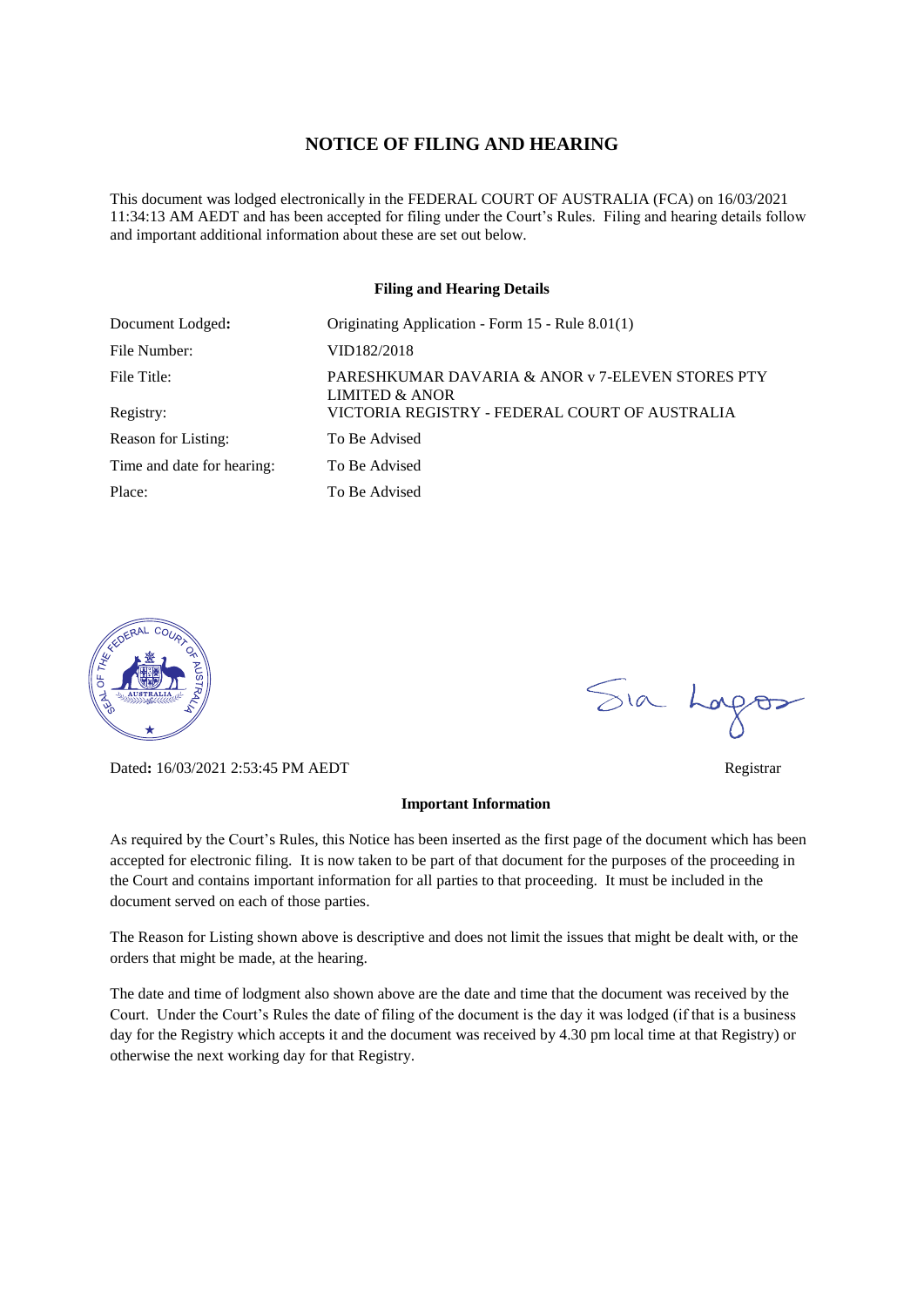#### **NOTICE OF FILING AND HEARING**

This document was lodged electronically in the FEDERAL COURT OF AUSTRALIA (FCA) on 16/03/2021 11:34:13 AM AEDT and has been accepted for filing under the Court's Rules. Filing and hearing details follow and important additional information about these are set out below.

#### **Filing and Hearing Details**

| Document Lodged:           | Originating Application - Form 15 - Rule 8.01(1)                   |
|----------------------------|--------------------------------------------------------------------|
| File Number:               | VID182/2018                                                        |
| File Title:                | PARESHKUMAR DAVARIA & ANOR v 7-ELEVEN STORES PTY<br>LIMITED & ANOR |
| Registry:                  | VICTORIA REGISTRY - FEDERAL COURT OF AUSTRALIA                     |
| Reason for Listing:        | To Be Advised                                                      |
| Time and date for hearing: | To Be Advised                                                      |
| Place:                     | To Be Advised                                                      |



Dated**:** 16/03/2021 2:53:45 PM AEDT Registrar

#### **Important Information**

As required by the Court's Rules, this Notice has been inserted as the first page of the document which has been accepted for electronic filing. It is now taken to be part of that document for the purposes of the proceeding in the Court and contains important information for all parties to that proceeding. It must be included in the document served on each of those parties.

The Reason for Listing shown above is descriptive and does not limit the issues that might be dealt with, or the orders that might be made, at the hearing.

The date and time of lodgment also shown above are the date and time that the document was received by the Court. Under the Court's Rules the date of filing of the document is the day it was lodged (if that is a business day for the Registry which accepts it and the document was received by 4.30 pm local time at that Registry) or otherwise the next working day for that Registry.

Sia Logos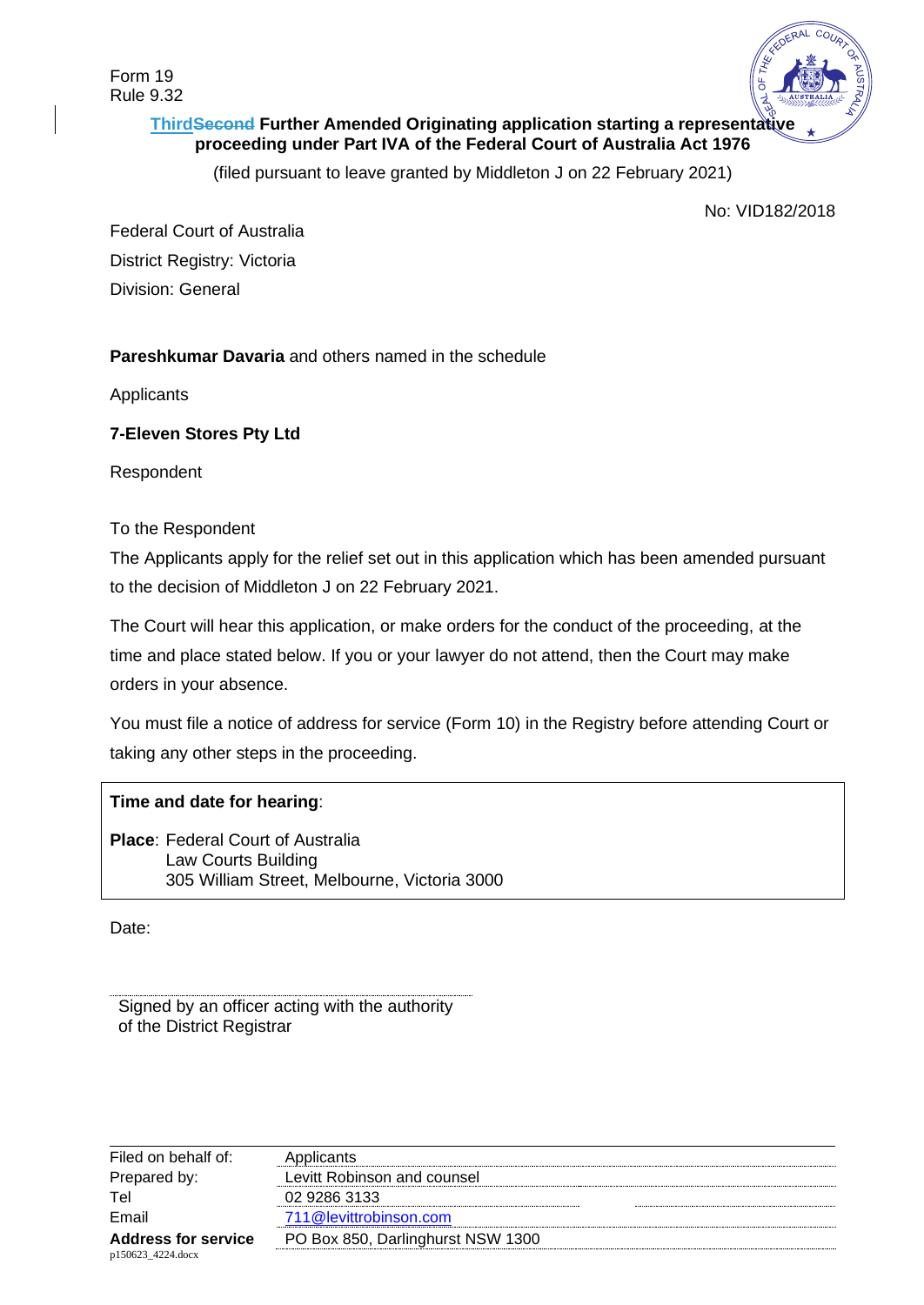

# **ThirdSecond Further Amended Originating application starting a representative proceeding under Part IVA of the Federal Court of Australia Act 1976**

(filed pursuant to leave granted by Middleton J on 22 February 2021)

No: VID182/2018

Federal Court of Australia District Registry: Victoria Division: General

# **Pareshkumar Davaria** and others named in the schedule

**Applicants** 

## **7-Eleven Stores Pty Ltd**

Respondent

## To the Respondent

The Applicants apply for the relief set out in this application which has been amended pursuant to the decision of Middleton J on 22 February 2021.

The Court will hear this application, or make orders for the conduct of the proceeding, at the time and place stated below. If you or your lawyer do not attend, then the Court may make orders in your absence.

You must file a notice of address for service (Form 10) in the Registry before attending Court or taking any other steps in the proceeding.

## **Time and date for hearing**:

**Place**: Federal Court of Australia Law Courts Building 305 William Street, Melbourne, Victoria 3000

Date:

Signed by an officer acting with the authority of the District Registrar

| Levitt Robinson and counsel       |
|-----------------------------------|
|                                   |
|                                   |
| PO Box 850, Darlinghurst NSW 1300 |
| 711@levittrobinson.com            |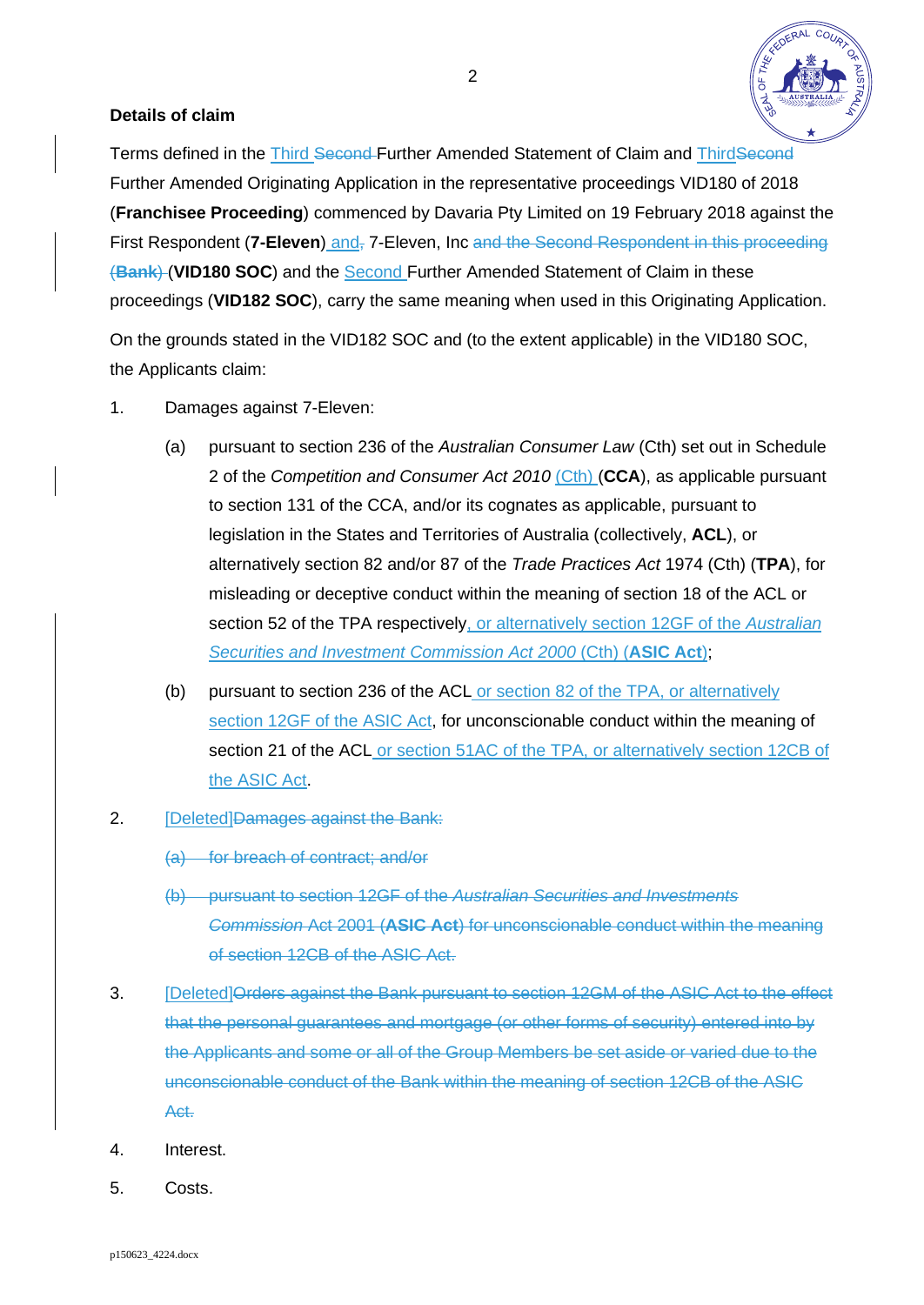

## **Details of claim**

Terms defined in the Third Second-Further Amended Statement of Claim and ThirdSecond Further Amended Originating Application in the representative proceedings VID180 of 2018 (**Franchisee Proceeding**) commenced by Davaria Pty Limited on 19 February 2018 against the First Respondent (7-Eleven) and<sub>r</sub> 7-Eleven, Inc and the Second Respondent in this proceeding (**Bank**) (**VID180 SOC**) and the Second Further Amended Statement of Claim in these proceedings (**VID182 SOC**), carry the same meaning when used in this Originating Application.

On the grounds stated in the VID182 SOC and (to the extent applicable) in the VID180 SOC, the Applicants claim:

- 1. Damages against 7-Eleven:
	- (a) pursuant to section 236 of the *Australian Consumer Law* (Cth) set out in Schedule 2 of the *Competition and Consumer Act 2010* (Cth) (**CCA**), as applicable pursuant to section 131 of the CCA, and/or its cognates as applicable, pursuant to legislation in the States and Territories of Australia (collectively, **ACL**), or alternatively section 82 and/or 87 of the *Trade Practices Act* 1974 (Cth) (**TPA**), for misleading or deceptive conduct within the meaning of section 18 of the ACL or section 52 of the TPA respectively, or alternatively section 12GF of the *Australian Securities and Investment Commission Act 2000* (Cth) (**ASIC Act**);
	- (b) pursuant to section 236 of the ACL or section 82 of the TPA, or alternatively section 12GF of the ASIC Act, for unconscionable conduct within the meaning of section 21 of the ACL or section 51AC of the TPA, or alternatively section 12CB of the ASIC Act.
- 2. **[Deleted]<del>Damages against the Bank:</del>** 
	- (a) for breach of contract; and/or
	- (b) pursuant to section 12GF of the *Australian Securities and Investments Commission* Act 2001 (**ASIC Act**) for unconscionable conduct within the meaning of section 12CB of the ASIC Act.
- 3. [Deleted]Orders against the Bank pursuant to section 12GM of the ASIC Act to the effect that the personal guarantees and mortgage (or other forms of security) entered into by the Applicants and some or all of the Group Members be set aside or varied due to the unconscionable conduct of the Bank within the meaning of section 12CB of the ASIC Act.
- 4. Interest.
- 5. Costs.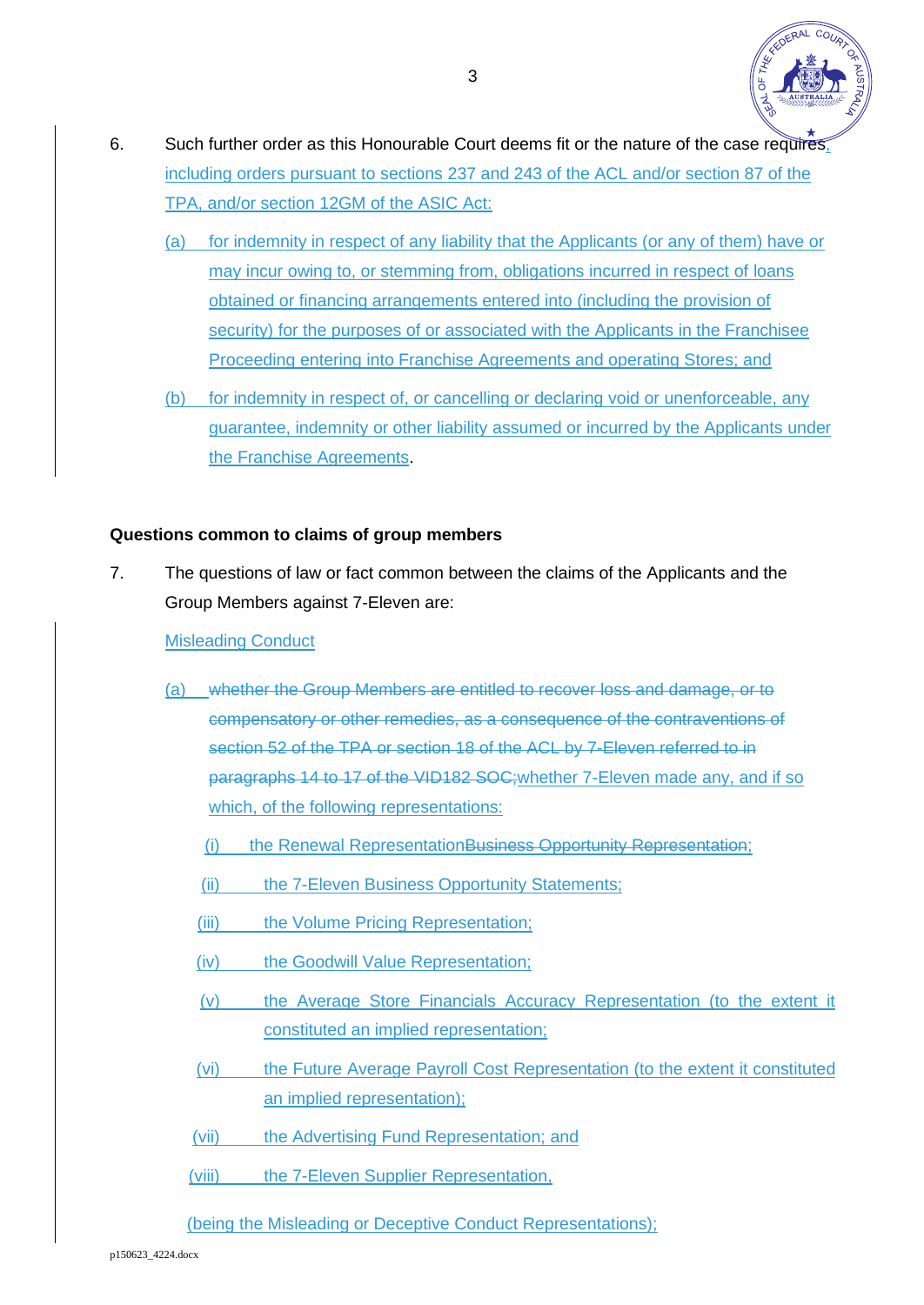

- 6. Such further order as this Honourable Court deems fit or the nature of the case requires, including orders pursuant to sections 237 and 243 of the ACL and/or section 87 of the TPA, and/or section 12GM of the ASIC Act:
	- (a) for indemnity in respect of any liability that the Applicants (or any of them) have or may incur owing to, or stemming from, obligations incurred in respect of loans obtained or financing arrangements entered into (including the provision of security) for the purposes of or associated with the Applicants in the Franchisee Proceeding entering into Franchise Agreements and operating Stores; and
	- (b) for indemnity in respect of, or cancelling or declaring void or unenforceable, any guarantee, indemnity or other liability assumed or incurred by the Applicants under the Franchise Agreements.

## **Questions common to claims of group members**

7. The questions of law or fact common between the claims of the Applicants and the Group Members against 7-Eleven are:

### Misleading Conduct

- (a) whether the Group Members are entitled to recover loss and damage, or to compensatory or other remedies, as a consequence of the contraventions of section 52 of the TPA or section 18 of the ACL by 7-Eleven referred to in paragraphs 14 to 17 of the VID182 SOC;whether 7-Eleven made any, and if so which, of the following representations:
	- (i) the Renewal RepresentationBusiness Opportunity Representation;
	- (ii) the 7-Eleven Business Opportunity Statements;
	- (iii) the Volume Pricing Representation;
	- (iv) the Goodwill Value Representation;
	- (v) the Average Store Financials Accuracy Representation (to the extent it constituted an implied representation;
	- (vi) the Future Average Payroll Cost Representation (to the extent it constituted an implied representation);
	- (vii) the Advertising Fund Representation; and
	- (viii) the 7-Eleven Supplier Representation,
	- (being the Misleading or Deceptive Conduct Representations);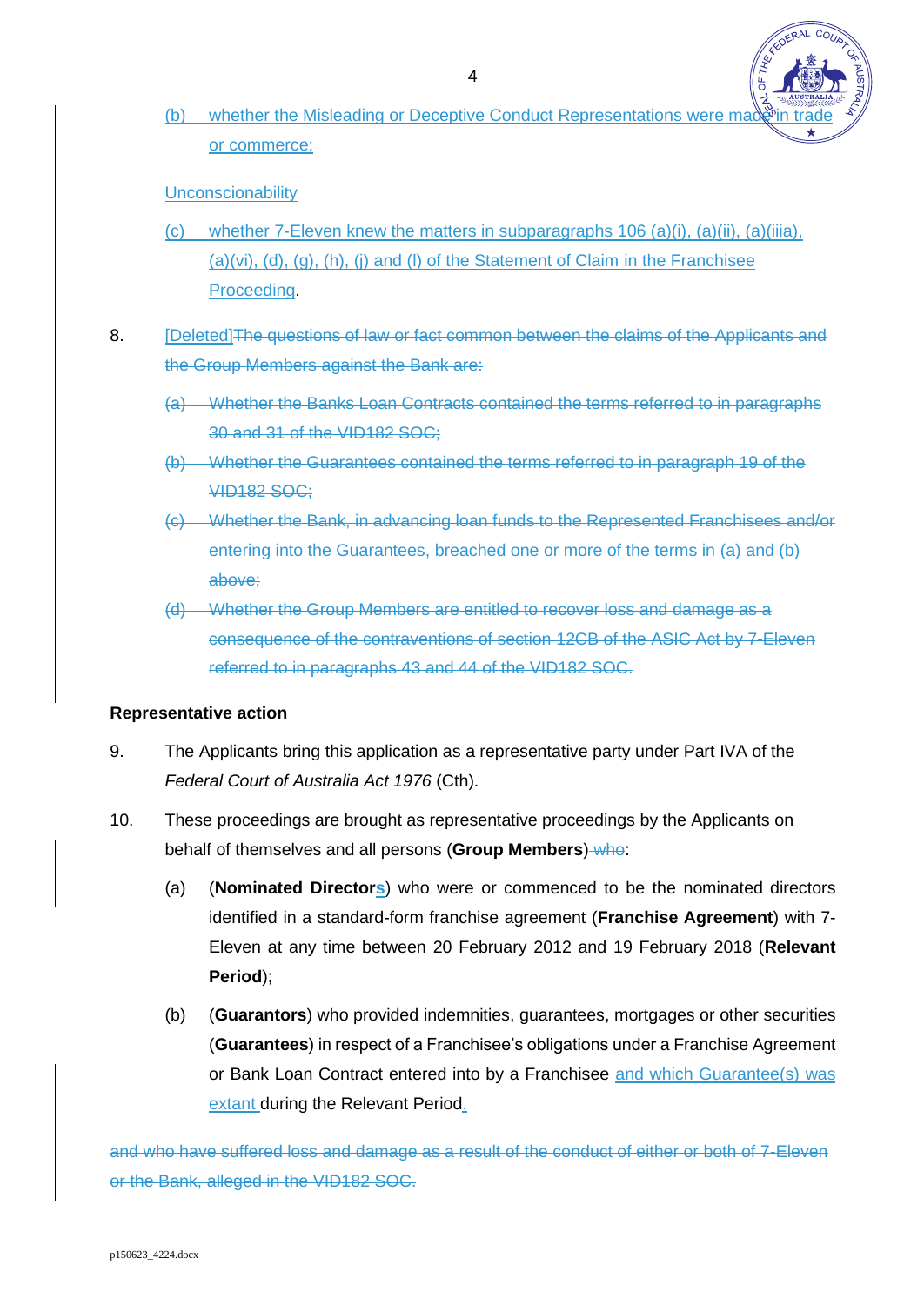(b) whether the Misleading or Deceptive Conduct Representations were made in or commerce;

**ERAL COL** 

**Unconscionability** 

- (c) whether 7-Eleven knew the matters in subparagraphs 106 (a)(i), (a)(ii), (a)(iiia), (a)(vi), (d), (g), (h), (j) and (l) of the Statement of Claim in the Franchisee Proceeding.
- <span id="page-4-0"></span>8. **[Deleted]The questions of law or fact common between the claims of the Applicants and** the Group Members against the Bank are:
	- (a) Whether the Banks Loan Contracts contained the terms referred to in paragraphs 30 and 31 of the VID182 SOC;
	- (b) Whether the Guarantees contained the terms referred to in paragraph 19 of the VID182 SOC;
	- (c) Whether the Bank, in advancing loan funds to the Represented Franchisees and/or entering into the Guarantees, breached one or more of the terms in [\(a\)](#page-4-0) and (b) above;
	- (d) Whether the Group Members are entitled to recover loss and damage as a consequence of the contraventions of section 12CB of the ASIC Act by 7-Eleven referred to in paragraphs 43 and 44 of the VID182 SOC.

### **Representative action**

- 9. The Applicants bring this application as a representative party under Part IVA of the *Federal Court of Australia Act 1976* (Cth).
- 10. These proceedings are brought as representative proceedings by the Applicants on behalf of themselves and all persons (**Group Members**) who:
	- (a) (**Nominated Directors**) who were or commenced to be the nominated directors identified in a standard-form franchise agreement (**Franchise Agreement**) with 7- Eleven at any time between 20 February 2012 and 19 February 2018 (**Relevant Period**);
	- (b) (**Guarantors**) who provided indemnities, guarantees, mortgages or other securities (**Guarantees**) in respect of a Franchisee's obligations under a Franchise Agreement or Bank Loan Contract entered into by a Franchisee and which Guarantee(s) was extant during the Relevant Period.

and who have suffered loss and damage as a result of the conduct of either or both of 7-Eleven or the Bank, alleged in the VID182 SOC.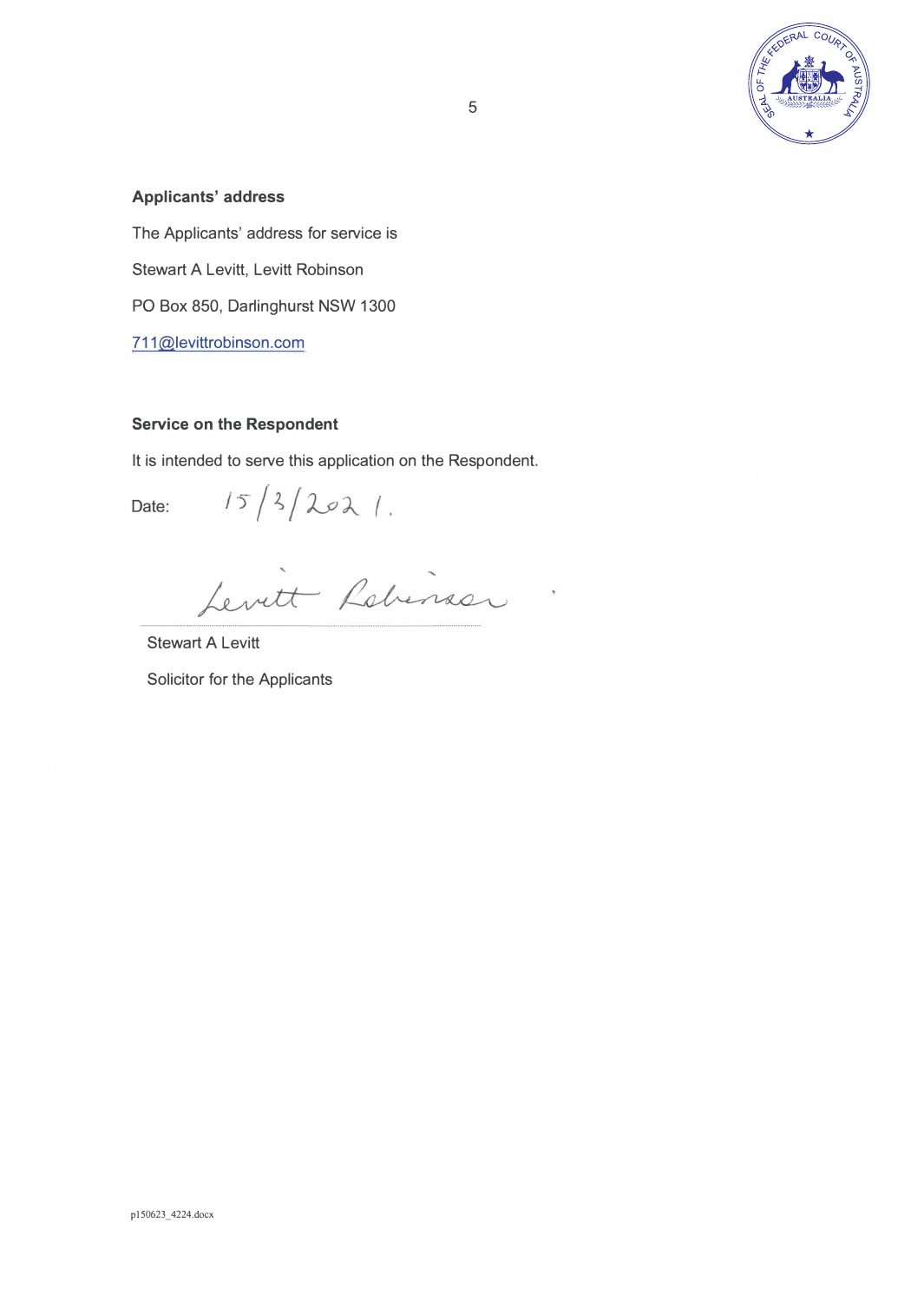

#### **Applicants' address**

The Applicants' address for service is Stewart A Levitt, Levitt Robinson PO Box 850, Darlinghurst NSW 1300 711@levittrobinson.com

#### **Service on the Respondent**

It is intended to serve this application on the Respondent.

 $15/3/2021$ . Date:

Levitt Robinson

Stewart A Levitt

Solicitor for the Applicants